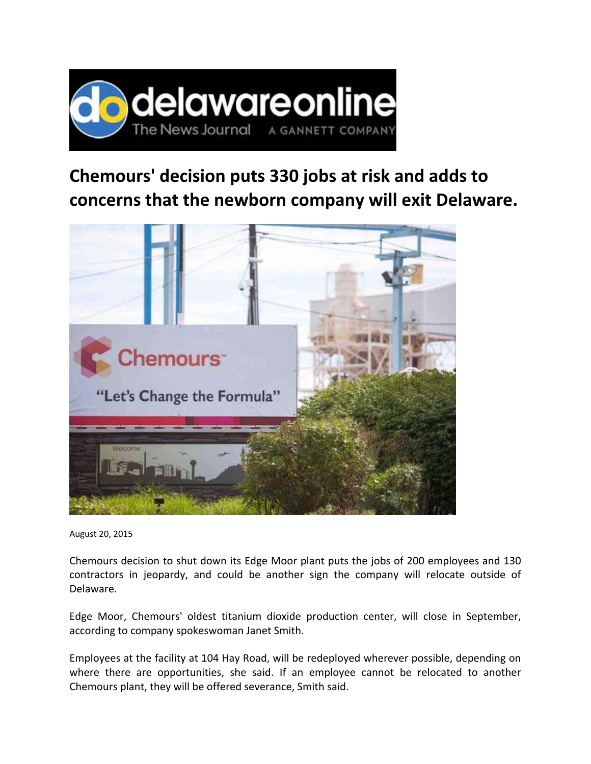

## **Chemours' decision puts 330 jobs at risk and adds to concerns that the newborn company will exit Delaware.**



August 20, 2015

Chemours decision to shut down its Edge Moor plant puts the jobs of 200 employees and 130 contractors in jeopardy, and could be another sign the company will relocate outside of Delaware.

Edge Moor, Chemours' oldest titanium dioxide production center, will close in September, according to company spokeswoman Janet Smith.

Employees at the facility at 104 Hay Road, will be redeployed wherever possible, depending on where there are opportunities, she said. If an employee cannot be relocated to another Chemours plant, they will be offered severance, Smith said.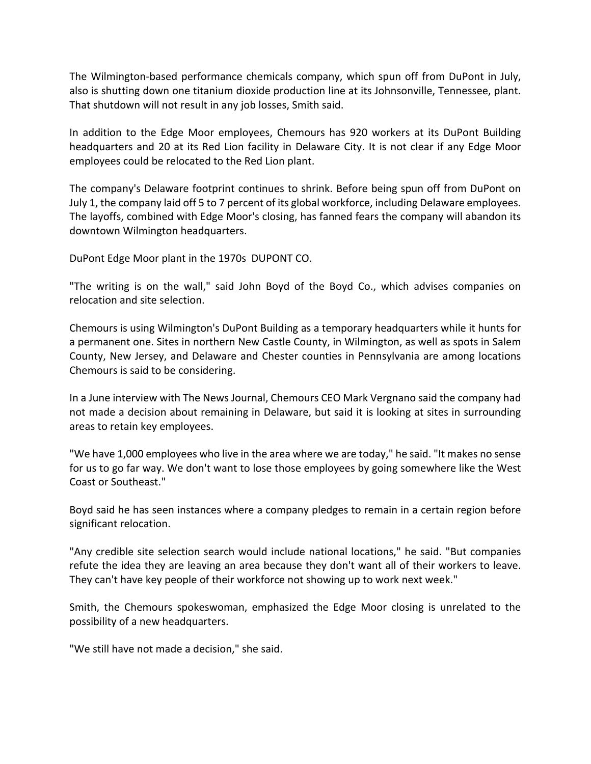The Wilmington-based performance chemicals company, which spun off from DuPont in July, also is shutting down one titanium dioxide production line at its Johnsonville, Tennessee, plant. That shutdown will not result in any job losses, Smith said.

In addition to the Edge Moor employees, Chemours has 920 workers at its DuPont Building headquarters and 20 at its Red Lion facility in Delaware City. It is not clear if any Edge Moor employees could be relocated to the Red Lion plant.

The company's Delaware footprint continues to shrink. Before being spun off from DuPont on July 1, the company laid off 5 to 7 percent of its global workforce, including Delaware employees. The layoffs, combined with Edge Moor's closing, has fanned fears the company will abandon its downtown Wilmington headquarters.

DuPont Edge Moor plant in the 1970s DUPONT CO.

"The writing is on the wall," said John Boyd of the Boyd Co., which advises companies on relocation and site selection.

Chemours is using Wilmington's DuPont Building as a temporary headquarters while it hunts for a permanent one. Sites in northern New Castle County, in Wilmington, as well as spots in Salem County, New Jersey, and Delaware and Chester counties in Pennsylvania are among locations Chemours is said to be considering.

In a June interview with The News Journal, Chemours CEO Mark Vergnano said the company had not made a decision about remaining in Delaware, but said it is looking at sites in surrounding areas to retain key employees.

"We have 1,000 employees who live in the area where we are today," he said. "It makes no sense for us to go far way. We don't want to lose those employees by going somewhere like the West Coast or Southeast."

Boyd said he has seen instances where a company pledges to remain in a certain region before significant relocation.

"Any credible site selection search would include national locations," he said. "But companies refute the idea they are leaving an area because they don't want all of their workers to leave. They can't have key people of their workforce not showing up to work next week."

Smith, the Chemours spokeswoman, emphasized the Edge Moor closing is unrelated to the possibility of a new headquarters.

"We still have not made a decision," she said.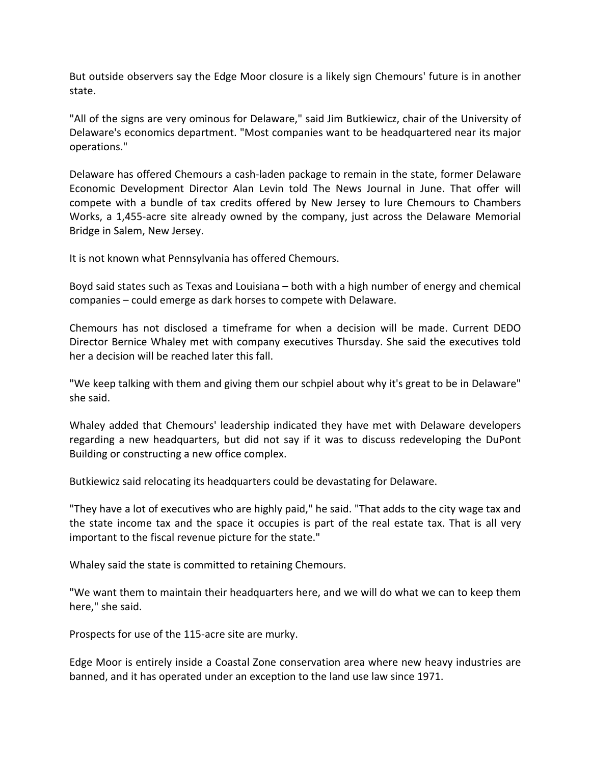But outside observers say the Edge Moor closure is a likely sign Chemours' future is in another state.

"All of the signs are very ominous for Delaware," said Jim Butkiewicz, chair of the University of Delaware's economics department. "Most companies want to be headquartered near its major operations."

Delaware has offered Chemours a cash‐laden package to remain in the state, former Delaware Economic Development Director Alan Levin told The News Journal in June. That offer will compete with a bundle of tax credits offered by New Jersey to lure Chemours to Chambers Works, a 1,455‐acre site already owned by the company, just across the Delaware Memorial Bridge in Salem, New Jersey.

It is not known what Pennsylvania has offered Chemours.

Boyd said states such as Texas and Louisiana – both with a high number of energy and chemical companies – could emerge as dark horses to compete with Delaware.

Chemours has not disclosed a timeframe for when a decision will be made. Current DEDO Director Bernice Whaley met with company executives Thursday. She said the executives told her a decision will be reached later this fall.

"We keep talking with them and giving them our schpiel about why it's great to be in Delaware" she said.

Whaley added that Chemours' leadership indicated they have met with Delaware developers regarding a new headquarters, but did not say if it was to discuss redeveloping the DuPont Building or constructing a new office complex.

Butkiewicz said relocating its headquarters could be devastating for Delaware.

"They have a lot of executives who are highly paid," he said. "That adds to the city wage tax and the state income tax and the space it occupies is part of the real estate tax. That is all very important to the fiscal revenue picture for the state."

Whaley said the state is committed to retaining Chemours.

"We want them to maintain their headquarters here, and we will do what we can to keep them here," she said.

Prospects for use of the 115‐acre site are murky.

Edge Moor is entirely inside a Coastal Zone conservation area where new heavy industries are banned, and it has operated under an exception to the land use law since 1971.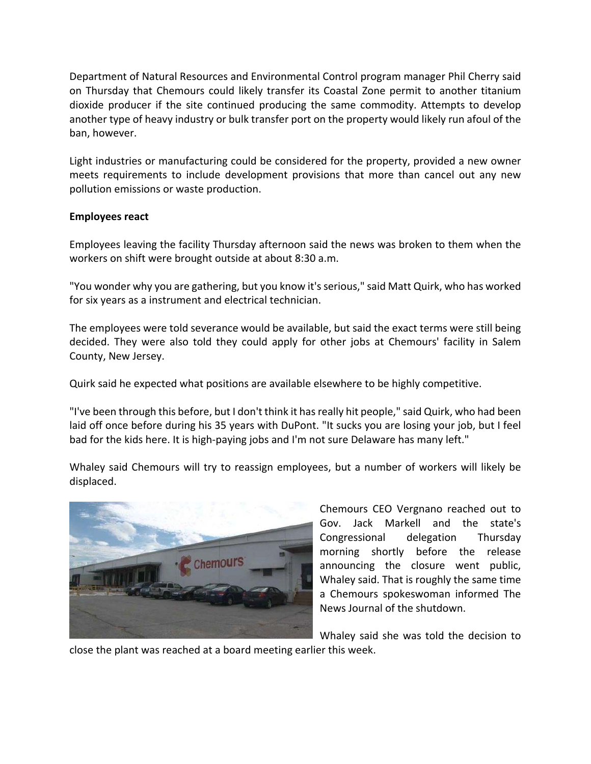Department of Natural Resources and Environmental Control program manager Phil Cherry said on Thursday that Chemours could likely transfer its Coastal Zone permit to another titanium dioxide producer if the site continued producing the same commodity. Attempts to develop another type of heavy industry or bulk transfer port on the property would likely run afoul of the ban, however.

Light industries or manufacturing could be considered for the property, provided a new owner meets requirements to include development provisions that more than cancel out any new pollution emissions or waste production.

## **Employees react**

Employees leaving the facility Thursday afternoon said the news was broken to them when the workers on shift were brought outside at about 8:30 a.m.

"You wonder why you are gathering, but you know it'sserious," said Matt Quirk, who has worked for six years as a instrument and electrical technician.

The employees were told severance would be available, but said the exact terms were still being decided. They were also told they could apply for other jobs at Chemours' facility in Salem County, New Jersey.

Quirk said he expected what positions are available elsewhere to be highly competitive.

"I've been through this before, but I don't think it hasreally hit people," said Quirk, who had been laid off once before during his 35 years with DuPont. "It sucks you are losing your job, but I feel bad for the kids here. It is high-paying jobs and I'm not sure Delaware has many left."

Whaley said Chemours will try to reassign employees, but a number of workers will likely be displaced.



Chemours CEO Vergnano reached out to Gov. Jack Markell and the state's Congressional delegation Thursday morning shortly before the release announcing the closure went public, Whaley said. That is roughly the same time a Chemours spokeswoman informed The News Journal of the shutdown.

Whaley said she was told the decision to

close the plant was reached at a board meeting earlier this week.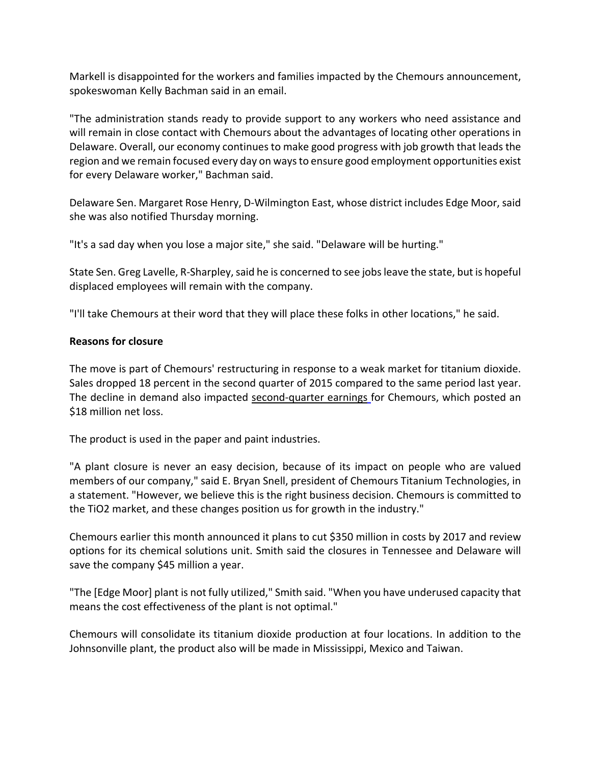Markell is disappointed for the workers and families impacted by the Chemours announcement, spokeswoman Kelly Bachman said in an email.

"The administration stands ready to provide support to any workers who need assistance and will remain in close contact with Chemours about the advantages of locating other operations in Delaware. Overall, our economy continues to make good progress with job growth that leads the region and we remain focused every day on waysto ensure good employment opportunities exist for every Delaware worker," Bachman said.

Delaware Sen. Margaret Rose Henry, D-Wilmington East, whose district includes Edge Moor, said she was also notified Thursday morning.

"It's a sad day when you lose a major site," she said. "Delaware will be hurting."

State Sen. Greg Lavelle, R-Sharpley, said he is concerned to see jobs leave the state, but is hopeful displaced employees will remain with the company.

"I'll take Chemours at their word that they will place these folks in other locations," he said.

## **Reasons for closure**

The move is part of Chemours' restructuring in response to a weak market for titanium dioxide. Sales dropped 18 percent in the second quarter of 2015 compared to the same period last year. The decline in demand also impacted second-quarter earnings for Chemours, which posted an \$18 million net loss.

The product is used in the paper and paint industries.

"A plant closure is never an easy decision, because of its impact on people who are valued members of our company," said E. Bryan Snell, president of Chemours Titanium Technologies, in a statement. "However, we believe this is the right business decision. Chemours is committed to the TiO2 market, and these changes position us for growth in the industry."

Chemours earlier this month announced it plans to cut \$350 million in costs by 2017 and review options for its chemical solutions unit. Smith said the closures in Tennessee and Delaware will save the company \$45 million a year.

"The [Edge Moor] plant is not fully utilized," Smith said. "When you have underused capacity that means the cost effectiveness of the plant is not optimal."

Chemours will consolidate its titanium dioxide production at four locations. In addition to the Johnsonville plant, the product also will be made in Mississippi, Mexico and Taiwan.